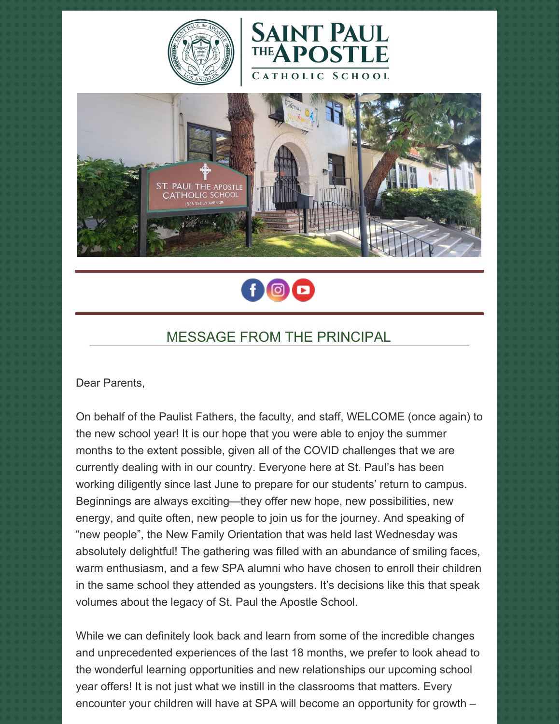







## MESSAGE FROM THE PRINCIPAL

Dear Parents,

On behalf of the Paulist Fathers, the faculty, and staff, WELCOME (once again) to the new school year! It is our hope that you were able to enjoy the summer months to the extent possible, given all of the COVID challenges that we are currently dealing with in our country. Everyone here at St. Paul's has been working diligently since last June to prepare for our students' return to campus. Beginnings are always exciting—they offer new hope, new possibilities, new energy, and quite often, new people to join us for the journey. And speaking of "new people", the New Family Orientation that was held last Wednesday was absolutely delightful! The gathering was filled with an abundance of smiling faces, warm enthusiasm, and a few SPA alumni who have chosen to enroll their children in the same school they attended as youngsters. It's decisions like this that speak volumes about the legacy of St. Paul the Apostle School.

While we can definitely look back and learn from some of the incredible changes and unprecedented experiences of the last 18 months, we prefer to look ahead to the wonderful learning opportunities and new relationships our upcoming school year offers! It is not just what we instill in the classrooms that matters. Every encounter your children will have at SPA will become an opportunity for growth –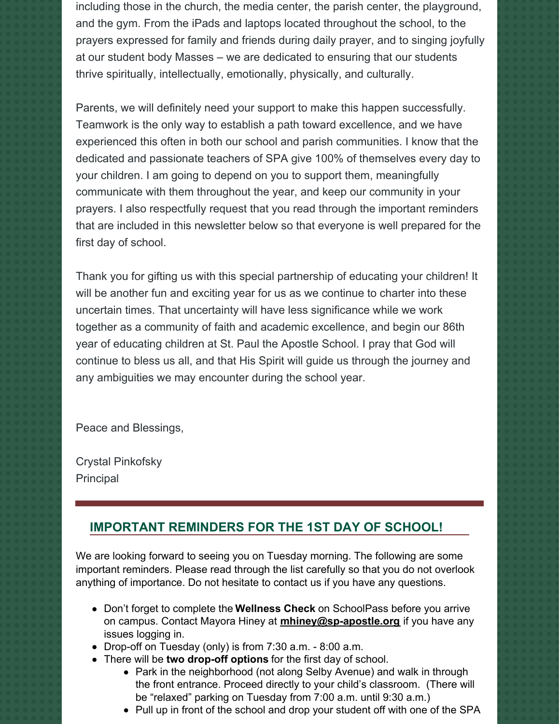including those in the church, the media center, the parish center, the playground, and the gym. From the iPads and laptops located throughout the school, to the prayers expressed for family and friends during daily prayer, and to singing joyfully at our student body Masses – we are dedicated to ensuring that our students thrive spiritually, intellectually, emotionally, physically, and culturally.

Parents, we will definitely need your support to make this happen successfully. Teamwork is the only way to establish a path toward excellence, and we have experienced this often in both our school and parish communities. I know that the dedicated and passionate teachers of SPA give 100% of themselves every day to your children. I am going to depend on you to support them, meaningfully communicate with them throughout the year, and keep our community in your prayers. I also respectfully request that you read through the important reminders that are included in this newsletter below so that everyone is well prepared for the first day of school.

Thank you for gifting us with this special partnership of educating your children! It will be another fun and exciting year for us as we continue to charter into these uncertain times. That uncertainty will have less significance while we work together as a community of faith and academic excellence, and begin our 86th year of educating children at St. Paul the Apostle School. I pray that God will continue to bless us all, and that His Spirit will guide us through the journey and any ambiguities we may encounter during the school year.

Peace and Blessings,

Crystal Pinkofsky Principal

## **IMPORTANT REMINDERS FOR THE 1ST DAY OF SCHOOL!**

We are looking forward to seeing you on Tuesday morning. The following are some important reminders. Please read through the list carefully so that you do not overlook anything of importance. Do not hesitate to contact us if you have any questions.

- Don't forget to complete the **Wellness Check** on SchoolPass before you arrive on campus. Contact Mayora Hiney at **[mhiney@sp-apostle.org](mailto:mhiney@sp-apostle.org)** if you have any issues logging in.
- Drop-off on Tuesday (only) is from 7:30 a.m. 8:00 a.m.
- There will be **two drop-off options** for the first day of school.
	- Park in the neighborhood (not along Selby Avenue) and walk in through the front entrance. Proceed directly to your child's classroom. (There will be "relaxed" parking on Tuesday from 7:00 a.m. until 9:30 a.m.)
	- Pull up in front of the school and drop your student off with one of the SPA